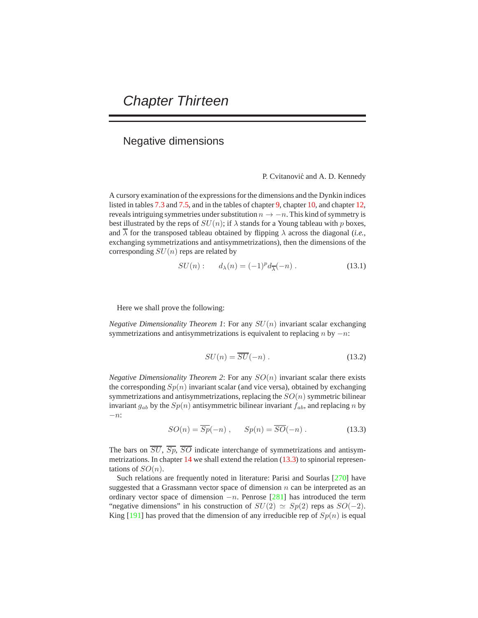## Negative dimensions

P. Cvitanović and A. D. Kennedy

A cursory examination of the expressions for the dimensions and the Dynkin indices listed in tables 7.3 and 7.5, and in the tables of chapter 9, chapter 10, and chapter 12, reveals intriguing symmetries under substitution  $n \to -n$ . This kind of symmetry is best illustrated by the reps of  $SU(n)$ ; if  $\lambda$  stands for a Young tableau with p boxes, and  $\overline{\lambda}$  for the transposed tableau obtained by flipping  $\lambda$  across the diagonal (*i.e.*, exchanging symmetrizations and antisymmetrizations), then the dimensions of the corresponding  $SU(n)$  reps are related by

$$
SU(n): \t d_{\lambda}(n) = (-1)^{p} d_{\overline{\lambda}}(-n) . \t (13.1)
$$

Here we shall prove the following:

*Negative Dimensionality Theorem 1*: For any SU(n) invariant scalar exchanging symmetrizations and antisymmetrizations is equivalent to replacing  $n$  by  $-n$ :

$$
SU(n) = \overline{SU}(-n) . \tag{13.2}
$$

*Negative Dimensionality Theorem 2*: For any  $SO(n)$  invariant scalar there exists the corresponding  $Sp(n)$  invariant scalar (and vice versa), obtained by exchanging symmetrizations and antisymmetrizations, replacing the  $SO(n)$  symmetric bilinear invariant  $g_{ab}$  by the  $Sp(n)$  antisymmetric bilinear invariant  $f_{ab}$ , and replacing n by −n:

$$
SO(n) = \overline{Sp}(-n) , \qquad Sp(n) = \overline{SO}(-n) . \tag{13.3}
$$

The bars on  $\overline{SU}$ ,  $\overline{Sp}$ ,  $\overline{SO}$  indicate interchange of symmetrizations and antisymmetrizations. In chapter 14 we shall extend the relation (13.3) to spinorial representations of  $SO(n)$ .

Such relations are frequently noted in literature: Parisi and Sourlas [270] have suggested that a Grassmann vector space of dimension  $n$  can be interpreted as an ordinary vector space of dimension  $-n$ . Penrose [281] has introduced the term "negative dimensions" in his construction of  $SU(2) \simeq Sp(2)$  reps as  $SO(-2)$ . King  $[191]$  has proved that the dimension of any irreducible rep of  $Sp(n)$  is equal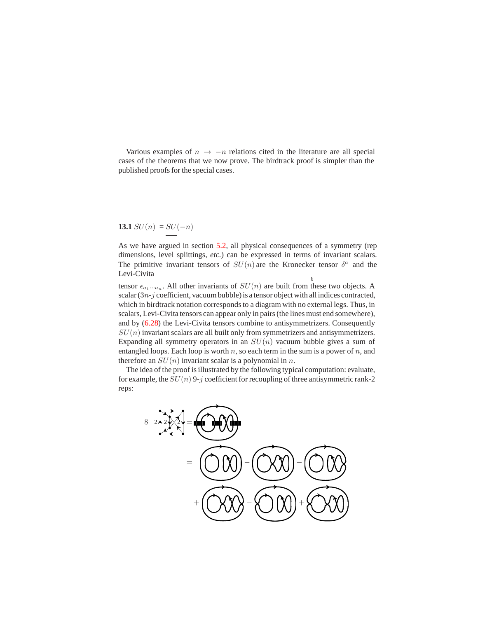Various examples of  $n \to -n$  relations cited in the literature are all special cases of the theorems that we now prove. The birdtrack proof is simpler than the published proofs for the special cases.

**13.1** 
$$
SU(n) = SU(-n)
$$

b As we have argued in section 5.2, all physical consequences of a symmetry (rep dimensions, level splittings, *etc.*) can be expressed in terms of invariant scalars. The primitive invariant tensors of  $SU(n)$  are the Kronecker tensor  $\delta^a$  and the Levi-Civita

tensor  $\epsilon_{a_1\cdots a_n}$ . All other invariants of  $SU(n)$  are built from these two objects. A scalar  $(3n-j$  coefficient, vacuum bubble) is a tensor object with all indices contracted, which in birdtrack notation corresponds to a diagram with no external legs. Thus, in scalars, Levi-Civita tensors can appear only in pairs (the lines must end somewhere), and by (6.28) the Levi-Civita tensors combine to antisymmetrizers. Consequently  $SU(n)$  invariant scalars are all built only from symmetrizers and antisymmetrizers. Expanding all symmetry operators in an  $SU(n)$  vacuum bubble gives a sum of entangled loops. Each loop is worth  $n$ , so each term in the sum is a power of  $n$ , and therefore an  $SU(n)$  invariant scalar is a polynomial in n.

The idea of the proof is illustrated by the following typical computation: evaluate, for example, the  $SU(n)$  9-j coefficient for recoupling of three antisymmetric rank-2 reps: